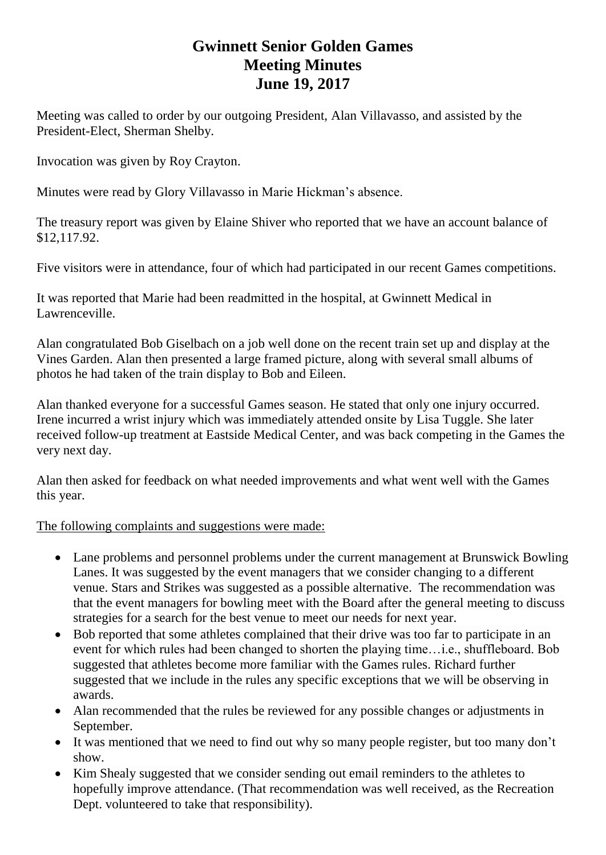## **Gwinnett Senior Golden Games Meeting Minutes June 19, 2017**

Meeting was called to order by our outgoing President, Alan Villavasso, and assisted by the President-Elect, Sherman Shelby.

Invocation was given by Roy Crayton.

Minutes were read by Glory Villavasso in Marie Hickman's absence.

The treasury report was given by Elaine Shiver who reported that we have an account balance of \$12,117.92.

Five visitors were in attendance, four of which had participated in our recent Games competitions.

It was reported that Marie had been readmitted in the hospital, at Gwinnett Medical in Lawrenceville.

Alan congratulated Bob Giselbach on a job well done on the recent train set up and display at the Vines Garden. Alan then presented a large framed picture, along with several small albums of photos he had taken of the train display to Bob and Eileen.

Alan thanked everyone for a successful Games season. He stated that only one injury occurred. Irene incurred a wrist injury which was immediately attended onsite by Lisa Tuggle. She later received follow-up treatment at Eastside Medical Center, and was back competing in the Games the very next day.

Alan then asked for feedback on what needed improvements and what went well with the Games this year.

## The following complaints and suggestions were made:

- Lane problems and personnel problems under the current management at Brunswick Bowling Lanes. It was suggested by the event managers that we consider changing to a different venue. Stars and Strikes was suggested as a possible alternative. The recommendation was that the event managers for bowling meet with the Board after the general meeting to discuss strategies for a search for the best venue to meet our needs for next year.
- Bob reported that some athletes complained that their drive was too far to participate in an event for which rules had been changed to shorten the playing time…i.e., shuffleboard. Bob suggested that athletes become more familiar with the Games rules. Richard further suggested that we include in the rules any specific exceptions that we will be observing in awards.
- Alan recommended that the rules be reviewed for any possible changes or adjustments in September.
- It was mentioned that we need to find out why so many people register, but too many don't show.
- Kim Shealy suggested that we consider sending out email reminders to the athletes to hopefully improve attendance. (That recommendation was well received, as the Recreation Dept. volunteered to take that responsibility).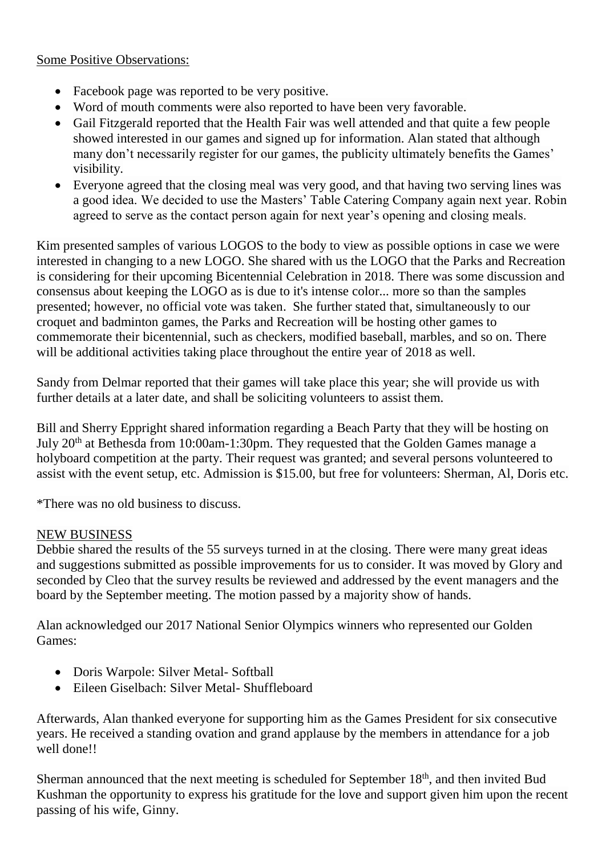## Some Positive Observations:

- Facebook page was reported to be very positive.
- Word of mouth comments were also reported to have been very favorable.
- Gail Fitzgerald reported that the Health Fair was well attended and that quite a few people showed interested in our games and signed up for information. Alan stated that although many don't necessarily register for our games, the publicity ultimately benefits the Games' visibility.
- Everyone agreed that the closing meal was very good, and that having two serving lines was a good idea. We decided to use the Masters' Table Catering Company again next year. Robin agreed to serve as the contact person again for next year's opening and closing meals.

Kim presented samples of various LOGOS to the body to view as possible options in case we were interested in changing to a new LOGO. She shared with us the LOGO that the Parks and Recreation is considering for their upcoming Bicentennial Celebration in 2018. There was some discussion and consensus about keeping the LOGO as is due to it's intense color... more so than the samples presented; however, no official vote was taken. She further stated that, simultaneously to our croquet and badminton games, the Parks and Recreation will be hosting other games to commemorate their bicentennial, such as checkers, modified baseball, marbles, and so on. There will be additional activities taking place throughout the entire year of 2018 as well.

Sandy from Delmar reported that their games will take place this year; she will provide us with further details at a later date, and shall be soliciting volunteers to assist them.

Bill and Sherry Eppright shared information regarding a Beach Party that they will be hosting on July 20<sup>th</sup> at Bethesda from 10:00am-1:30pm. They requested that the Golden Games manage a holyboard competition at the party. Their request was granted; and several persons volunteered to assist with the event setup, etc. Admission is \$15.00, but free for volunteers: Sherman, Al, Doris etc.

\*There was no old business to discuss.

## NEW BUSINESS

Debbie shared the results of the 55 surveys turned in at the closing. There were many great ideas and suggestions submitted as possible improvements for us to consider. It was moved by Glory and seconded by Cleo that the survey results be reviewed and addressed by the event managers and the board by the September meeting. The motion passed by a majority show of hands.

Alan acknowledged our 2017 National Senior Olympics winners who represented our Golden Games:

- Doris Warpole: Silver Metal- Softball
- Eileen Giselbach: Silver Metal- Shuffleboard

Afterwards, Alan thanked everyone for supporting him as the Games President for six consecutive years. He received a standing ovation and grand applause by the members in attendance for a job well done!!

Sherman announced that the next meeting is scheduled for September 18<sup>th</sup>, and then invited Bud Kushman the opportunity to express his gratitude for the love and support given him upon the recent passing of his wife, Ginny.